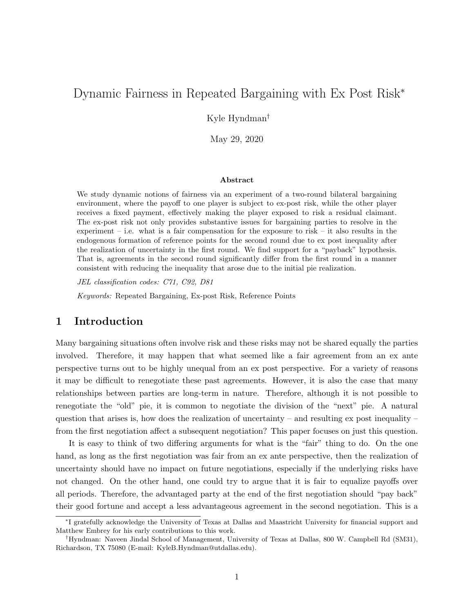# Dynamic Fairness in Repeated Bargaining with Ex Post Risk<sup>∗</sup>

Kyle Hyndman†

May 29, 2020

#### Abstract

We study dynamic notions of fairness via an experiment of a two-round bilateral bargaining environment, where the payoff to one player is subject to ex-post risk, while the other player receives a fixed payment, effectively making the player exposed to risk a residual claimant. The ex-post risk not only provides substantive issues for bargaining parties to resolve in the experiment – i.e. what is a fair compensation for the exposure to risk – it also results in the endogenous formation of reference points for the second round due to ex post inequality after the realization of uncertainty in the first round. We find support for a "payback" hypothesis. That is, agreements in the second round significantly differ from the first round in a manner consistent with reducing the inequality that arose due to the initial pie realization.

JEL classification codes: C71, C92, D81

Keywords: Repeated Bargaining, Ex-post Risk, Reference Points

### 1 Introduction

Many bargaining situations often involve risk and these risks may not be shared equally the parties involved. Therefore, it may happen that what seemed like a fair agreement from an ex ante perspective turns out to be highly unequal from an ex post perspective. For a variety of reasons it may be difficult to renegotiate these past agreements. However, it is also the case that many relationships between parties are long-term in nature. Therefore, although it is not possible to renegotiate the "old" pie, it is common to negotiate the division of the "next" pie. A natural question that arises is, how does the realization of uncertainty – and resulting ex post inequality – from the first negotiation affect a subsequent negotiation? This paper focuses on just this question.

It is easy to think of two differing arguments for what is the "fair" thing to do. On the one hand, as long as the first negotiation was fair from an ex ante perspective, then the realization of uncertainty should have no impact on future negotiations, especially if the underlying risks have not changed. On the other hand, one could try to argue that it is fair to equalize payoffs over all periods. Therefore, the advantaged party at the end of the first negotiation should "pay back" their good fortune and accept a less advantageous agreement in the second negotiation. This is a

<sup>∗</sup> I gratefully acknowledge the University of Texas at Dallas and Maastricht University for financial support and Matthew Embrey for his early contributions to this work.

<sup>†</sup>Hyndman: Naveen Jindal School of Management, University of Texas at Dallas, 800 W. Campbell Rd (SM31), Richardson, TX 75080 (E-mail: KyleB.Hyndman@utdallas.edu).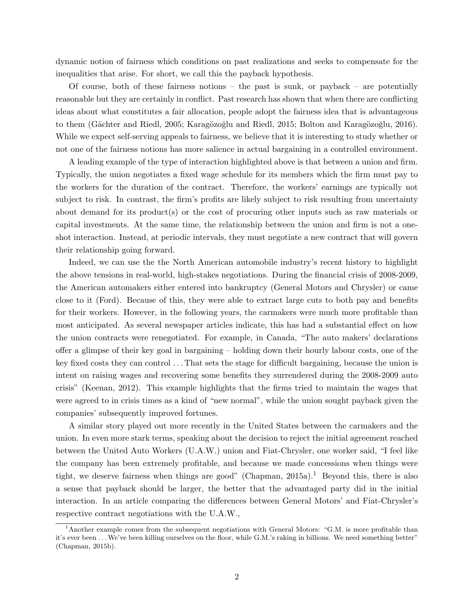dynamic notion of fairness which conditions on past realizations and seeks to compensate for the inequalities that arise. For short, we call this the payback hypothesis.

Of course, both of these fairness notions – the past is sunk, or payback – are potentially reasonable but they are certainly in conflict. Past research has shown that when there are conflicting ideas about what constitutes a fair allocation, people adopt the fairness idea that is advantageous to them (Gächter and Riedl, 2005; Karagözoğlu and Riedl, 2015; Bolton and Karagözoğlu, 2016). While we expect self-serving appeals to fairness, we believe that it is interesting to study whether or not one of the fairness notions has more salience in actual bargaining in a controlled environment.

A leading example of the type of interaction highlighted above is that between a union and firm. Typically, the union negotiates a fixed wage schedule for its members which the firm must pay to the workers for the duration of the contract. Therefore, the workers' earnings are typically not subject to risk. In contrast, the firm's profits are likely subject to risk resulting from uncertainty about demand for its product(s) or the cost of procuring other inputs such as raw materials or capital investments. At the same time, the relationship between the union and firm is not a oneshot interaction. Instead, at periodic intervals, they must negotiate a new contract that will govern their relationship going forward.

Indeed, we can use the the North American automobile industry's recent history to highlight the above tensions in real-world, high-stakes negotiations. During the financial crisis of 2008-2009, the American automakers either entered into bankruptcy (General Motors and Chrysler) or came close to it (Ford). Because of this, they were able to extract large cuts to both pay and benefits for their workers. However, in the following years, the carmakers were much more profitable than most anticipated. As several newspaper articles indicate, this has had a substantial effect on how the union contracts were renegotiated. For example, in Canada, "The auto makers' declarations offer a glimpse of their key goal in bargaining – holding down their hourly labour costs, one of the key fixed costs they can control . . . That sets the stage for difficult bargaining, because the union is intent on raising wages and recovering some benefits they surrendered during the 2008-2009 auto crisis" (Keenan, 2012). This example highlights that the firms tried to maintain the wages that were agreed to in crisis times as a kind of "new normal", while the union sought payback given the companies' subsequently improved fortunes.

A similar story played out more recently in the United States between the carmakers and the union. In even more stark terms, speaking about the decision to reject the initial agreement reached between the United Auto Workers (U.A.W.) union and Fiat-Chrysler, one worker said, "I feel like the company has been extremely profitable, and because we made concessions when things were tight, we deserve fairness when things are good" (Chapman,  $2015a$ ).<sup>1</sup> Beyond this, there is also a sense that payback should be larger, the better that the advantaged party did in the initial interaction. In an article comparing the differences between General Motors' and Fiat-Chrysler's respective contract negotiations with the U.A.W.,

 $1<sup>1</sup>$ Another example comes from the subsequent negotiations with General Motors: "G.M. is more profitable than it's ever been . . .We've been killing ourselves on the floor, while G.M.'s raking in billions. We need something better" (Chapman, 2015b).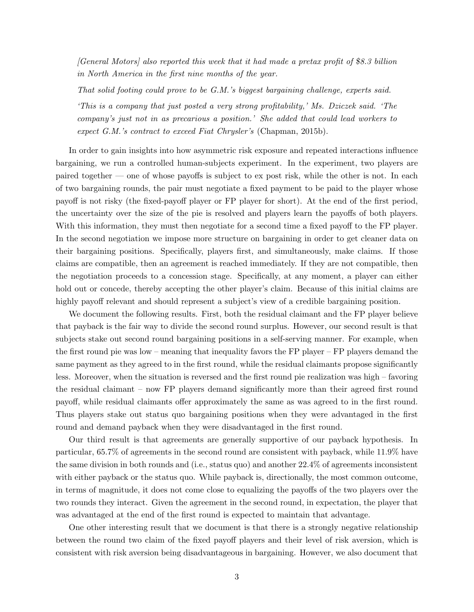[General Motors] also reported this week that it had made a pretax profit of \$8.3 billion in North America in the first nine months of the year.

That solid footing could prove to be G.M.'s biggest bargaining challenge, experts said.

'This is a company that just posted a very strong profitability,' Ms. Dziczek said. 'The company's just not in as precarious a position.' She added that could lead workers to expect G.M.'s contract to exceed Fiat Chrysler's (Chapman, 2015b).

In order to gain insights into how asymmetric risk exposure and repeated interactions influence bargaining, we run a controlled human-subjects experiment. In the experiment, two players are paired together — one of whose payoffs is subject to ex post risk, while the other is not. In each of two bargaining rounds, the pair must negotiate a fixed payment to be paid to the player whose payoff is not risky (the fixed-payoff player or FP player for short). At the end of the first period, the uncertainty over the size of the pie is resolved and players learn the payoffs of both players. With this information, they must then negotiate for a second time a fixed payoff to the FP player. In the second negotiation we impose more structure on bargaining in order to get cleaner data on their bargaining positions. Specifically, players first, and simultaneously, make claims. If those claims are compatible, then an agreement is reached immediately. If they are not compatible, then the negotiation proceeds to a concession stage. Specifically, at any moment, a player can either hold out or concede, thereby accepting the other player's claim. Because of this initial claims are highly payoff relevant and should represent a subject's view of a credible bargaining position.

We document the following results. First, both the residual claimant and the FP player believe that payback is the fair way to divide the second round surplus. However, our second result is that subjects stake out second round bargaining positions in a self-serving manner. For example, when the first round pie was low – meaning that inequality favors the FP player – FP players demand the same payment as they agreed to in the first round, while the residual claimants propose significantly less. Moreover, when the situation is reversed and the first round pie realization was high – favoring the residual claimant – now FP players demand significantly more than their agreed first round payoff, while residual claimants offer approximately the same as was agreed to in the first round. Thus players stake out status quo bargaining positions when they were advantaged in the first round and demand payback when they were disadvantaged in the first round.

Our third result is that agreements are generally supportive of our payback hypothesis. In particular, 65.7% of agreements in the second round are consistent with payback, while 11.9% have the same division in both rounds and (i.e., status quo) and another 22.4% of agreements inconsistent with either payback or the status quo. While payback is, directionally, the most common outcome, in terms of magnitude, it does not come close to equalizing the payoffs of the two players over the two rounds they interact. Given the agreement in the second round, in expectation, the player that was advantaged at the end of the first round is expected to maintain that advantage.

One other interesting result that we document is that there is a strongly negative relationship between the round two claim of the fixed payoff players and their level of risk aversion, which is consistent with risk aversion being disadvantageous in bargaining. However, we also document that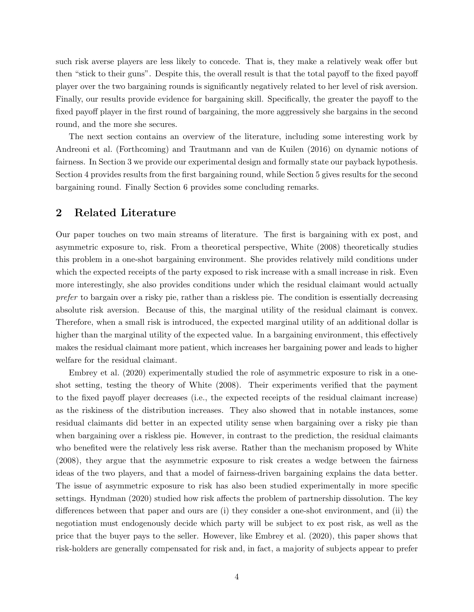such risk averse players are less likely to concede. That is, they make a relatively weak offer but then "stick to their guns". Despite this, the overall result is that the total payoff to the fixed payoff player over the two bargaining rounds is significantly negatively related to her level of risk aversion. Finally, our results provide evidence for bargaining skill. Specifically, the greater the payoff to the fixed payoff player in the first round of bargaining, the more aggressively she bargains in the second round, and the more she secures.

The next section contains an overview of the literature, including some interesting work by Andreoni et al. (Forthcoming) and Trautmann and van de Kuilen (2016) on dynamic notions of fairness. In Section 3 we provide our experimental design and formally state our payback hypothesis. Section 4 provides results from the first bargaining round, while Section 5 gives results for the second bargaining round. Finally Section 6 provides some concluding remarks.

### 2 Related Literature

Our paper touches on two main streams of literature. The first is bargaining with ex post, and asymmetric exposure to, risk. From a theoretical perspective, White (2008) theoretically studies this problem in a one-shot bargaining environment. She provides relatively mild conditions under which the expected receipts of the party exposed to risk increase with a small increase in risk. Even more interestingly, she also provides conditions under which the residual claimant would actually prefer to bargain over a risky pie, rather than a riskless pie. The condition is essentially decreasing absolute risk aversion. Because of this, the marginal utility of the residual claimant is convex. Therefore, when a small risk is introduced, the expected marginal utility of an additional dollar is higher than the marginal utility of the expected value. In a bargaining environment, this effectively makes the residual claimant more patient, which increases her bargaining power and leads to higher welfare for the residual claimant.

Embrey et al. (2020) experimentally studied the role of asymmetric exposure to risk in a oneshot setting, testing the theory of White (2008). Their experiments verified that the payment to the fixed payoff player decreases (i.e., the expected receipts of the residual claimant increase) as the riskiness of the distribution increases. They also showed that in notable instances, some residual claimants did better in an expected utility sense when bargaining over a risky pie than when bargaining over a riskless pie. However, in contrast to the prediction, the residual claimants who benefited were the relatively less risk averse. Rather than the mechanism proposed by White (2008), they argue that the asymmetric exposure to risk creates a wedge between the fairness ideas of the two players, and that a model of fairness-driven bargaining explains the data better. The issue of asymmetric exposure to risk has also been studied experimentally in more specific settings. Hyndman (2020) studied how risk affects the problem of partnership dissolution. The key differences between that paper and ours are (i) they consider a one-shot environment, and (ii) the negotiation must endogenously decide which party will be subject to ex post risk, as well as the price that the buyer pays to the seller. However, like Embrey et al. (2020), this paper shows that risk-holders are generally compensated for risk and, in fact, a majority of subjects appear to prefer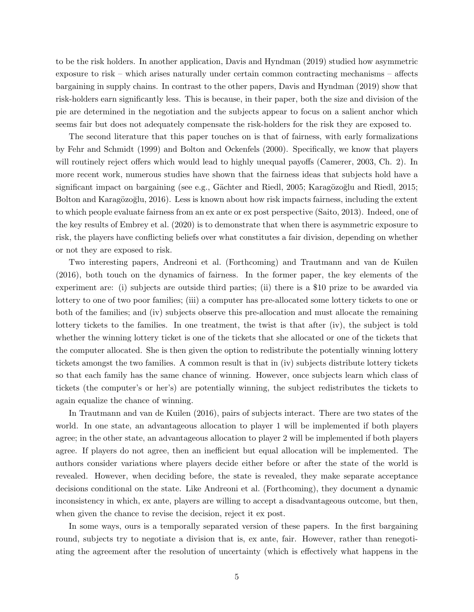to be the risk holders. In another application, Davis and Hyndman (2019) studied how asymmetric exposure to risk – which arises naturally under certain common contracting mechanisms – affects bargaining in supply chains. In contrast to the other papers, Davis and Hyndman (2019) show that risk-holders earn significantly less. This is because, in their paper, both the size and division of the pie are determined in the negotiation and the subjects appear to focus on a salient anchor which seems fair but does not adequately compensate the risk-holders for the risk they are exposed to.

The second literature that this paper touches on is that of fairness, with early formalizations by Fehr and Schmidt (1999) and Bolton and Ockenfels (2000). Specifically, we know that players will routinely reject offers which would lead to highly unequal payoffs (Camerer, 2003, Ch. 2). In more recent work, numerous studies have shown that the fairness ideas that subjects hold have a significant impact on bargaining (see e.g., Gächter and Riedl, 2005; Karagözoğlu and Riedl, 2015; Bolton and Karagözoğlu, 2016). Less is known about how risk impacts fairness, including the extent to which people evaluate fairness from an ex ante or ex post perspective (Saito, 2013). Indeed, one of the key results of Embrey et al. (2020) is to demonstrate that when there is asymmetric exposure to risk, the players have conflicting beliefs over what constitutes a fair division, depending on whether or not they are exposed to risk.

Two interesting papers, Andreoni et al. (Forthcoming) and Trautmann and van de Kuilen (2016), both touch on the dynamics of fairness. In the former paper, the key elements of the experiment are: (i) subjects are outside third parties; (ii) there is a \$10 prize to be awarded via lottery to one of two poor families; (iii) a computer has pre-allocated some lottery tickets to one or both of the families; and (iv) subjects observe this pre-allocation and must allocate the remaining lottery tickets to the families. In one treatment, the twist is that after (iv), the subject is told whether the winning lottery ticket is one of the tickets that she allocated or one of the tickets that the computer allocated. She is then given the option to redistribute the potentially winning lottery tickets amongst the two families. A common result is that in (iv) subjects distribute lottery tickets so that each family has the same chance of winning. However, once subjects learn which class of tickets (the computer's or her's) are potentially winning, the subject redistributes the tickets to again equalize the chance of winning.

In Trautmann and van de Kuilen (2016), pairs of subjects interact. There are two states of the world. In one state, an advantageous allocation to player 1 will be implemented if both players agree; in the other state, an advantageous allocation to player 2 will be implemented if both players agree. If players do not agree, then an inefficient but equal allocation will be implemented. The authors consider variations where players decide either before or after the state of the world is revealed. However, when deciding before, the state is revealed, they make separate acceptance decisions conditional on the state. Like Andreoni et al. (Forthcoming), they document a dynamic inconsistency in which, ex ante, players are willing to accept a disadvantageous outcome, but then, when given the chance to revise the decision, reject it ex post.

In some ways, ours is a temporally separated version of these papers. In the first bargaining round, subjects try to negotiate a division that is, ex ante, fair. However, rather than renegotiating the agreement after the resolution of uncertainty (which is effectively what happens in the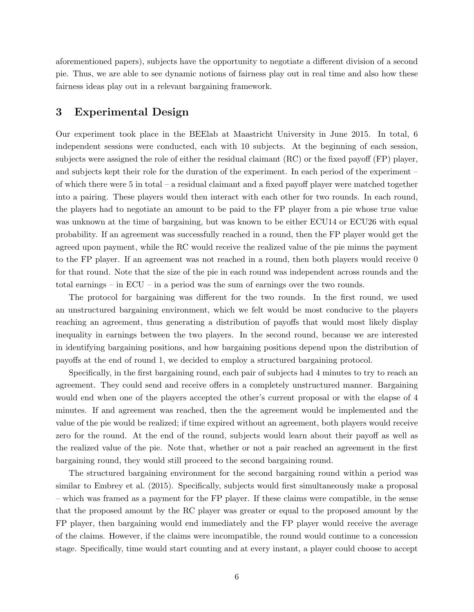aforementioned papers), subjects have the opportunity to negotiate a different division of a second pie. Thus, we are able to see dynamic notions of fairness play out in real time and also how these fairness ideas play out in a relevant bargaining framework.

## 3 Experimental Design

Our experiment took place in the BEElab at Maastricht University in June 2015. In total, 6 independent sessions were conducted, each with 10 subjects. At the beginning of each session, subjects were assigned the role of either the residual claimant (RC) or the fixed payoff (FP) player, and subjects kept their role for the duration of the experiment. In each period of the experiment – of which there were 5 in total – a residual claimant and a fixed payoff player were matched together into a pairing. These players would then interact with each other for two rounds. In each round, the players had to negotiate an amount to be paid to the FP player from a pie whose true value was unknown at the time of bargaining, but was known to be either ECU14 or ECU26 with equal probability. If an agreement was successfully reached in a round, then the FP player would get the agreed upon payment, while the RC would receive the realized value of the pie minus the payment to the FP player. If an agreement was not reached in a round, then both players would receive 0 for that round. Note that the size of the pie in each round was independent across rounds and the total earnings – in ECU – in a period was the sum of earnings over the two rounds.

The protocol for bargaining was different for the two rounds. In the first round, we used an unstructured bargaining environment, which we felt would be most conducive to the players reaching an agreement, thus generating a distribution of payoffs that would most likely display inequality in earnings between the two players. In the second round, because we are interested in identifying bargaining positions, and how bargaining positions depend upon the distribution of payoffs at the end of round 1, we decided to employ a structured bargaining protocol.

Specifically, in the first bargaining round, each pair of subjects had 4 minutes to try to reach an agreement. They could send and receive offers in a completely unstructured manner. Bargaining would end when one of the players accepted the other's current proposal or with the elapse of 4 minutes. If and agreement was reached, then the the agreement would be implemented and the value of the pie would be realized; if time expired without an agreement, both players would receive zero for the round. At the end of the round, subjects would learn about their payoff as well as the realized value of the pie. Note that, whether or not a pair reached an agreement in the first bargaining round, they would still proceed to the second bargaining round.

The structured bargaining environment for the second bargaining round within a period was similar to Embrey et al. (2015). Specifically, subjects would first simultaneously make a proposal – which was framed as a payment for the FP player. If these claims were compatible, in the sense that the proposed amount by the RC player was greater or equal to the proposed amount by the FP player, then bargaining would end immediately and the FP player would receive the average of the claims. However, if the claims were incompatible, the round would continue to a concession stage. Specifically, time would start counting and at every instant, a player could choose to accept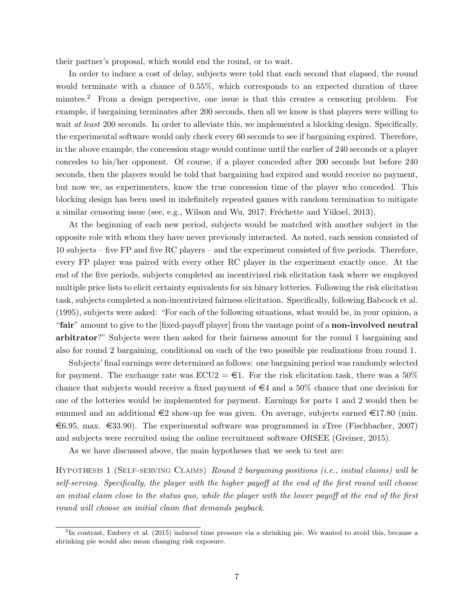their partner's proposal, which would end the round, or to wait.

In order to induce a cost of delay, subjects were told that each second that elapsed, the round would terminate with a chance of 0.55%, which corresponds to an expected duration of three minutes.<sup>2</sup> From a design perspective, one issue is that this creates a censoring problem. For example, if bargaining terminates after 200 seconds, then all we know is that players were willing to wait *at least* 200 seconds. In order to alleviate this, we implemented a blocking design. Specifically, the experimental software would only check every 60 seconds to see if bargaining expired. Therefore, in the above example, the concession stage would continue until the earlier of 240 seconds or a player concedes to his/her opponent. Of course, if a player conceded after 200 seconds but before 240 seconds, then the players would be told that bargaining had expired and would receive no payment, but now we, as experimenters, know the true concession time of the player who conceded. This blocking design has been used in indefinitely repeated games with random termination to mitigate a similar censoring issue (see, e.g., Wilson and Wu, 2017; Fréchette and Yüksel, 2013).

At the beginning of each new period, subjects would be matched with another subject in the opposite role with whom they have never previously interacted. As noted, each session consisted of 10 subjects – five FP and five RC players – and the experiment consisted of five periods. Therefore, every FP player was paired with every other RC player in the experiment exactly once. At the end of the five periods, subjects completed an incentivized risk elicitation task where we employed multiple price lists to elicit certainty equivalents for six binary lotteries. Following the risk elicitation task, subjects completed a non-incentivized fairness elicitation. Specifically, following Babcock et al. (1995), subjects were asked: "For each of the following situations, what would be, in your opinion, a "fair" amount to give to the [fixed-payoff player] from the vantage point of a non-involved neutral arbitrator?" Subjects were then asked for their fairness amount for the round 1 bargaining and also for round 2 bargaining, conditional on each of the two possible pie realizations from round 1.

Subjects' final earnings were determined as follows: one bargaining period was randomly selected for payment. The exchange rate was  $ECU2 = \epsilon$ 1. For the risk elicitation task, there was a 50% chance that subjects would receive a fixed payment of  $\epsilon_4$  and a 50% chance that one decision for one of the lotteries would be implemented for payment. Earnings for parts 1 and 2 would then be summed and an additional  $\epsilon$ 2 show-up fee was given. On average, subjects earned  $\epsilon$ 17.80 (min.  $\epsilon$ 6.95, max.  $\epsilon$ 33.90). The experimental software was programmed in zTree (Fischbacher, 2007) and subjects were recruited using the online recruitment software ORSEE (Greiner, 2015).

As we have discussed above, the main hypotheses that we seek to test are:

Hypothesis 1 (Self-serving Claims) Round 2 bargaining positions (i.e., initial claims) will be self-serving. Specifically, the player with the higher payoff at the end of the first round will choose an initial claim close to the status quo, while the player with the lower payoff at the end of the first round will choose an initial claim that demands payback.

<sup>2</sup> In contrast, Embrey et al. (2015) induced time pressure via a shrinking pie. We wanted to avoid this, because a shrinking pie would also mean changing risk exposure.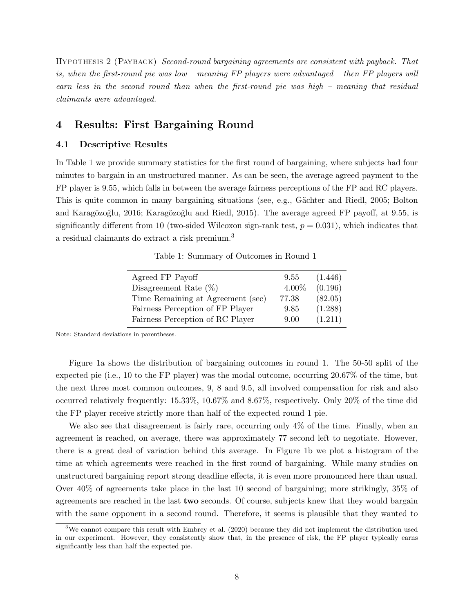Hypothesis 2 (Payback) Second-round bargaining agreements are consistent with payback. That is, when the first-round pie was low – meaning FP players were advantaged – then FP players will earn less in the second round than when the first-round pie was high – meaning that residual claimants were advantaged.

# 4 Results: First Bargaining Round

#### 4.1 Descriptive Results

In Table 1 we provide summary statistics for the first round of bargaining, where subjects had four minutes to bargain in an unstructured manner. As can be seen, the average agreed payment to the FP player is 9.55, which falls in between the average fairness perceptions of the FP and RC players. This is quite common in many bargaining situations (see, e.g., Gächter and Riedl, 2005; Bolton and Karagözoğlu, 2016; Karagözoğlu and Riedl, 2015). The average agreed FP payoff, at 9.55, is significantly different from 10 (two-sided Wilcoxon sign-rank test,  $p = 0.031$ ), which indicates that a residual claimants do extract a risk premium.<sup>3</sup>

Table 1: Summary of Outcomes in Round 1

| Agreed FP Payoff                  | 9.55  | (1.446) |
|-----------------------------------|-------|---------|
| Disagreement Rate $(\%)$          | 4.00% | (0.196) |
| Time Remaining at Agreement (sec) | 77.38 | (82.05) |
| Fairness Perception of FP Player  | 9.85  | (1.288) |
| Fairness Perception of RC Player  | 9.00  | (1.211) |

Note: Standard deviations in parentheses.

Figure 1a shows the distribution of bargaining outcomes in round 1. The 50-50 split of the expected pie (i.e., 10 to the FP player) was the modal outcome, occurring 20.67% of the time, but the next three most common outcomes, 9, 8 and 9.5, all involved compensation for risk and also occurred relatively frequently: 15.33%, 10.67% and 8.67%, respectively. Only 20% of the time did the FP player receive strictly more than half of the expected round 1 pie.

We also see that disagreement is fairly rare, occurring only 4% of the time. Finally, when an agreement is reached, on average, there was approximately 77 second left to negotiate. However, there is a great deal of variation behind this average. In Figure 1b we plot a histogram of the time at which agreements were reached in the first round of bargaining. While many studies on unstructured bargaining report strong deadline effects, it is even more pronounced here than usual. Over 40% of agreements take place in the last 10 second of bargaining; more strikingly, 35% of agreements are reached in the last two seconds. Of course, subjects knew that they would bargain with the same opponent in a second round. Therefore, it seems is plausible that they wanted to

<sup>&</sup>lt;sup>3</sup>We cannot compare this result with Embrey et al. (2020) because they did not implement the distribution used in our experiment. However, they consistently show that, in the presence of risk, the FP player typically earns significantly less than half the expected pie.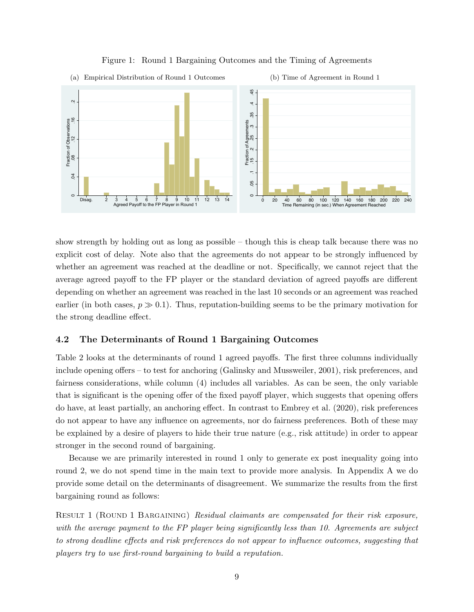

Figure 1: Round 1 Bargaining Outcomes and the Timing of Agreements

show strength by holding out as long as possible – though this is cheap talk because there was no explicit cost of delay. Note also that the agreements do not appear to be strongly influenced by whether an agreement was reached at the deadline or not. Specifically, we cannot reject that the average agreed payoff to the FP player or the standard deviation of agreed payoffs are different depending on whether an agreement was reached in the last 10 seconds or an agreement was reached earlier (in both cases,  $p \gg 0.1$ ). Thus, reputation-building seems to be the primary motivation for the strong deadline effect.

### 4.2 The Determinants of Round 1 Bargaining Outcomes

Table 2 looks at the determinants of round 1 agreed payoffs. The first three columns individually include opening offers – to test for anchoring (Galinsky and Mussweiler, 2001), risk preferences, and fairness considerations, while column (4) includes all variables. As can be seen, the only variable that is significant is the opening offer of the fixed payoff player, which suggests that opening offers do have, at least partially, an anchoring effect. In contrast to Embrey et al. (2020), risk preferences do not appear to have any influence on agreements, nor do fairness preferences. Both of these may be explained by a desire of players to hide their true nature (e.g., risk attitude) in order to appear stronger in the second round of bargaining.

Because we are primarily interested in round 1 only to generate ex post inequality going into round 2, we do not spend time in the main text to provide more analysis. In Appendix A we do provide some detail on the determinants of disagreement. We summarize the results from the first bargaining round as follows:

Result 1 (Round 1 Bargaining) Residual claimants are compensated for their risk exposure, with the average payment to the FP player being significantly less than 10. Agreements are subject to strong deadline effects and risk preferences do not appear to influence outcomes, suggesting that players try to use first-round bargaining to build a reputation.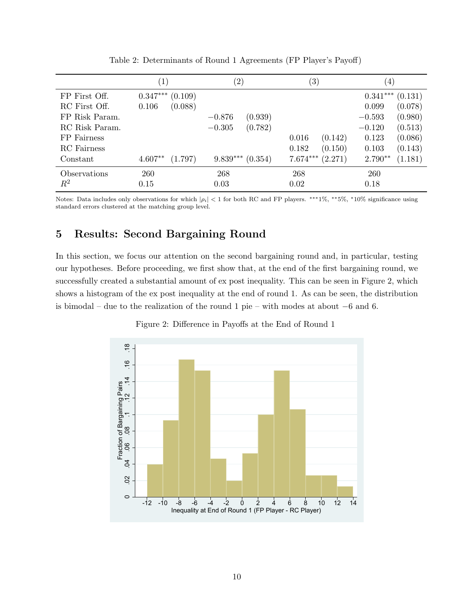|                |                       | $\left( 2\right)$     | $\left( 3\right)$     | 4)                    |
|----------------|-----------------------|-----------------------|-----------------------|-----------------------|
| FP First Off.  | $0.347***$<br>(0.109) |                       |                       | $0.341***$<br>(0.131) |
| RC First Off.  | (0.088)<br>0.106      |                       |                       | (0.078)<br>0.099      |
| FP Risk Param. |                       | (0.939)<br>$-0.876$   |                       | (0.980)<br>$-0.593$   |
| RC Risk Param. |                       | (0.782)<br>$-0.305$   |                       | (0.513)<br>$-0.120$   |
| FP Fairness    |                       |                       | (0.142)<br>0.016      | (0.086)<br>0.123      |
| RC Fairness    |                       |                       | (0.150)<br>0.182      | (0.143)<br>0.103      |
| Constant       | $4.607**$<br>(1.797)  | $9.839***$<br>(0.354) | $7.674***$<br>(2.271) | $2.790**$<br>(1.181)  |
| Observations   | 260                   | 268                   | 268                   | <b>260</b>            |
| $\,R^2$        | 0.15                  | 0.03                  | 0.02                  | 0.18                  |

Table 2: Determinants of Round 1 Agreements (FP Player's Payoff)

Notes: Data includes only observations for which  $|\rho_i| < 1$  for both RC and FP players. \*\*\*1%, \*\*5%, \*10% significance using standard errors clustered at the matching group level.

# 5 Results: Second Bargaining Round

In this section, we focus our attention on the second bargaining round and, in particular, testing our hypotheses. Before proceeding, we first show that, at the end of the first bargaining round, we successfully created a substantial amount of ex post inequality. This can be seen in Figure 2, which shows a histogram of the ex post inequality at the end of round 1. As can be seen, the distribution is bimodal – due to the realization of the round 1 pie – with modes at about −6 and 6.



Figure 2: Difference in Payoffs at the End of Round 1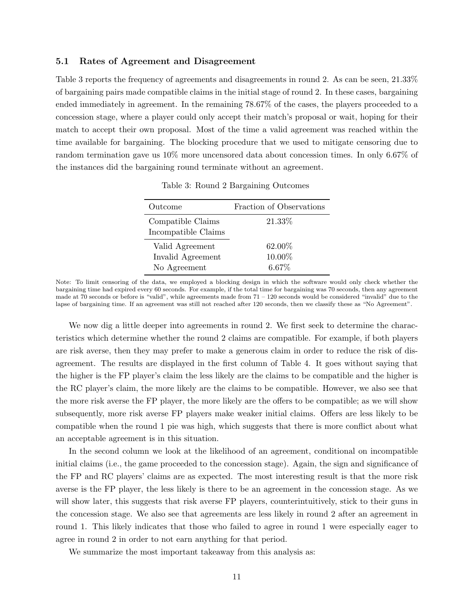#### 5.1 Rates of Agreement and Disagreement

Table 3 reports the frequency of agreements and disagreements in round 2. As can be seen, 21.33% of bargaining pairs made compatible claims in the initial stage of round 2. In these cases, bargaining ended immediately in agreement. In the remaining 78.67% of the cases, the players proceeded to a concession stage, where a player could only accept their match's proposal or wait, hoping for their match to accept their own proposal. Most of the time a valid agreement was reached within the time available for bargaining. The blocking procedure that we used to mitigate censoring due to random termination gave us 10% more uncensored data about concession times. In only 6.67% of the instances did the bargaining round terminate without an agreement.

| Outcome                                              | Fraction of Observations     |
|------------------------------------------------------|------------------------------|
| Compatible Claims<br>Incompatible Claims             | 21.33%                       |
| Valid Agreement<br>Invalid Agreement<br>No Agreement | 62.00%<br>10.00%<br>$6.67\%$ |

Table 3: Round 2 Bargaining Outcomes

Note: To limit censoring of the data, we employed a blocking design in which the software would only check whether the bargaining time had expired every 60 seconds. For example, if the total time for bargaining was 70 seconds, then any agreement made at 70 seconds or before is "valid", while agreements made from 71 – 120 seconds would be considered "invalid" due to the lapse of bargaining time. If an agreement was still not reached after 120 seconds, then we classify these as "No Agreement".

We now dig a little deeper into agreements in round 2. We first seek to determine the characteristics which determine whether the round 2 claims are compatible. For example, if both players are risk averse, then they may prefer to make a generous claim in order to reduce the risk of disagreement. The results are displayed in the first column of Table 4. It goes without saying that the higher is the FP player's claim the less likely are the claims to be compatible and the higher is the RC player's claim, the more likely are the claims to be compatible. However, we also see that the more risk averse the FP player, the more likely are the offers to be compatible; as we will show subsequently, more risk averse FP players make weaker initial claims. Offers are less likely to be compatible when the round 1 pie was high, which suggests that there is more conflict about what an acceptable agreement is in this situation.

In the second column we look at the likelihood of an agreement, conditional on incompatible initial claims (i.e., the game proceeded to the concession stage). Again, the sign and significance of the FP and RC players' claims are as expected. The most interesting result is that the more risk averse is the FP player, the less likely is there to be an agreement in the concession stage. As we will show later, this suggests that risk averse FP players, counterintuitively, stick to their guns in the concession stage. We also see that agreements are less likely in round 2 after an agreement in round 1. This likely indicates that those who failed to agree in round 1 were especially eager to agree in round 2 in order to not earn anything for that period.

We summarize the most important takeaway from this analysis as: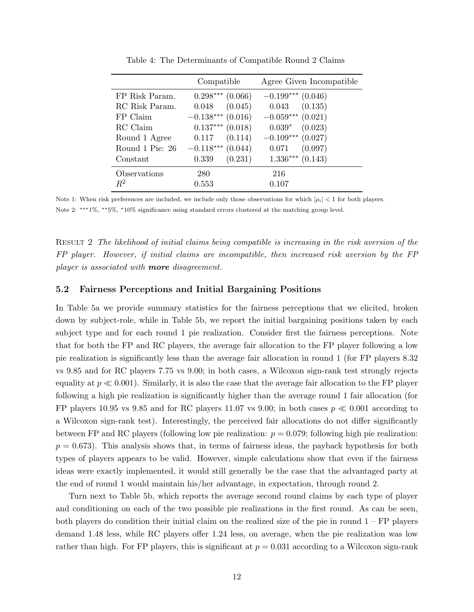|                 | Compatible             | Agree Given Incompatible |
|-----------------|------------------------|--------------------------|
| FP Risk Param.  | $0.298***$<br>(0.066)  | $-0.199***$ (0.046)      |
| RC Risk Param.  | (0.045)<br>0.048       | $0.043$ $(0.135)$        |
| FP Claim        | $-0.138***$ (0.016)    | $-0.059***$ (0.021)      |
| RC Claim        | $0.137***$ $(0.018)$   | $0.039*$<br>(0.023)      |
| Round 1 Agree   | (0.114)<br>0.117       | $-0.109***$ (0.027)      |
| Round 1 Pie: 26 | $-0.118***$<br>(0.044) | (0.097)<br>0.071         |
| Constant        | (0.231)<br>0.339       | $1.336***$ $(0.143)$     |
| Observations    | 280                    | 216                      |
| $R^2$           | 0.553                  | 0.107                    |

Table 4: The Determinants of Compatible Round 2 Claims

Note 1: When risk preferences are included, we include only those observations for which  $|\rho_i| < 1$  for both players. Note 2: ∗∗∗1%, ∗∗5%, <sup>∗</sup>10% significance using standard errors clustered at the matching group level.

Result 2 The likelihood of initial claims being compatible is increasing in the risk aversion of the FP player. However, if initial claims are incompatible, then increased risk aversion by the FP player is associated with **more** disagreement.

#### 5.2 Fairness Perceptions and Initial Bargaining Positions

In Table 5a we provide summary statistics for the fairness perceptions that we elicited, broken down by subject-role, while in Table 5b, we report the initial bargaining positions taken by each subject type and for each round 1 pie realization. Consider first the fairness perceptions. Note that for both the FP and RC players, the average fair allocation to the FP player following a low pie realization is significantly less than the average fair allocation in round 1 (for FP players 8.32 vs 9.85 and for RC players 7.75 vs 9.00; in both cases, a Wilcoxon sign-rank test strongly rejects equality at  $p \ll 0.001$ ). Similarly, it is also the case that the average fair allocation to the FP player following a high pie realization is significantly higher than the average round 1 fair allocation (for FP players 10.95 vs 9.85 and for RC players 11.07 vs 9.00; in both cases  $p \ll 0.001$  according to a Wilcoxon sign-rank test). Interestingly, the perceived fair allocations do not differ significantly between FP and RC players (following low pie realization:  $p = 0.079$ ; following high pie realization:  $p = 0.673$ . This analysis shows that, in terms of fairness ideas, the payback hypothesis for both types of players appears to be valid. However, simple calculations show that even if the fairness ideas were exactly implemented, it would still generally be the case that the advantaged party at the end of round 1 would maintain his/her advantage, in expectation, through round 2.

Turn next to Table 5b, which reports the average second round claims by each type of player and conditioning on each of the two possible pie realizations in the first round. As can be seen, both players do condition their initial claim on the realized size of the pie in round  $1 - FP$  players demand 1.48 less, while RC players offer 1.24 less, on average, when the pie realization was low rather than high. For FP players, this is significant at  $p = 0.031$  according to a Wilcoxon sign-rank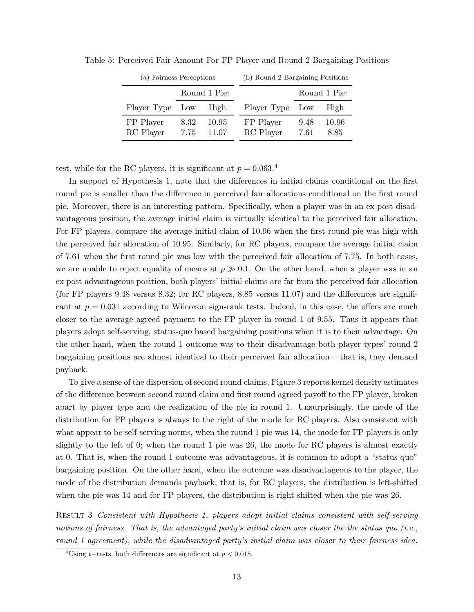| (a) Fairness Perceptions |              |                | (b) Round 2 Bargaining Positions |              |               |  |
|--------------------------|--------------|----------------|----------------------------------|--------------|---------------|--|
| Round 1 Pie:             |              |                |                                  |              | Round 1 Pie:  |  |
| Player Type Low          | High         |                | Player Type Low                  |              | High          |  |
| FP Player<br>RC Player   | 8.32<br>7.75 | 10.95<br>11.07 | FP Player<br>RC Player           | 9.48<br>7.61 | 10.96<br>8.85 |  |

Table 5: Perceived Fair Amount For FP Player and Round 2 Bargaining Positions

test, while for the RC players, it is significant at  $p = 0.063$ .<sup>4</sup>

In support of Hypothesis 1, note that the differences in initial claims conditional on the first round pie is smaller than the difference in perceived fair allocations conditional on the first round pie. Moreover, there is an interesting pattern. Specifically, when a player was in an ex post disadvantageous position, the average initial claim is virtually identical to the perceived fair allocation. For FP players, compare the average initial claim of 10.96 when the first round pie was high with the perceived fair allocation of 10.95. Similarly, for RC players, compare the average initial claim of 7.61 when the first round pie was low with the perceived fair allocation of 7.75. In both cases, we are unable to reject equality of means at  $p \gg 0.1$ . On the other hand, when a player was in an ex post advantageous position, both players' initial claims are far from the perceived fair allocation (for FP players 9.48 versus 8.32; for RC players, 8.85 versus 11.07) and the differences are significant at  $p = 0.031$  according to Wilcoxon sign-rank tests. Indeed, in this case, the offers are much closer to the average agreed payment to the FP player in round 1 of 9.55. Thus it appears that players adopt self-serving, status-quo based bargaining positions when it is to their advantage. On the other hand, when the round 1 outcome was to their disadvantage both player types' round 2 bargaining positions are almost identical to their perceived fair allocation – that is, they demand payback.

To give a sense of the dispersion of second round claims, Figure 3 reports kernel density estimates of the difference between second round claim and first round agreed payoff to the FP player, broken apart by player type and the realization of the pie in round 1. Unsurprisingly, the mode of the distribution for FP players is always to the right of the mode for RC players. Also consistent with what appear to be self-serving norms, when the round 1 pie was 14, the mode for FP players is only slightly to the left of 0; when the round 1 pie was 26, the mode for RC players is almost exactly at 0. That is, when the round 1 outcome was advantageous, it is common to adopt a "status quo" bargaining position. On the other hand, when the outcome was disadvantageous to the player, the mode of the distribution demands payback; that is, for RC players, the distribution is left-shifted when the pie was 14 and for FP players, the distribution is right-shifted when the pie was 26.

Result 3 Consistent with Hypothesis 1, players adopt initial claims consistent with self-serving notions of fairness. That is, the advantaged party's initial claim was closer the the status quo (i.e., round 1 agreement), while the disadvantaged party's initial claim was closer to their fairness idea.

<sup>&</sup>lt;sup>4</sup>Using t−tests, both differences are significant at  $p < 0.015$ .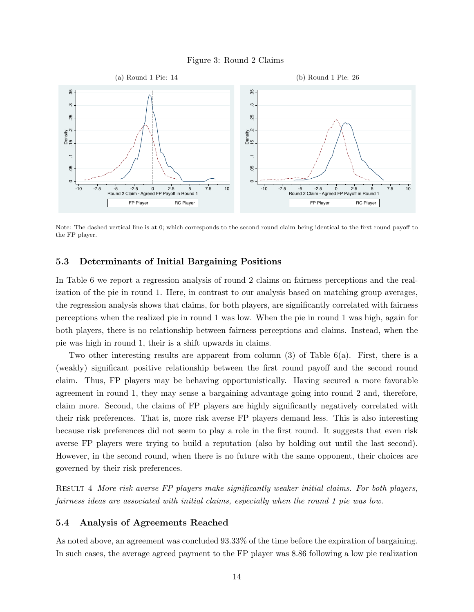#### Figure 3: Round 2 Claims



Note: The dashed vertical line is at 0; which corresponds to the second round claim being identical to the first round payoff to the FP player.

#### 5.3 Determinants of Initial Bargaining Positions

In Table 6 we report a regression analysis of round 2 claims on fairness perceptions and the realization of the pie in round 1. Here, in contrast to our analysis based on matching group averages, the regression analysis shows that claims, for both players, are significantly correlated with fairness perceptions when the realized pie in round 1 was low. When the pie in round 1 was high, again for both players, there is no relationship between fairness perceptions and claims. Instead, when the pie was high in round 1, their is a shift upwards in claims.

Two other interesting results are apparent from column (3) of Table 6(a). First, there is a (weakly) significant positive relationship between the first round payoff and the second round claim. Thus, FP players may be behaving opportunistically. Having secured a more favorable agreement in round 1, they may sense a bargaining advantage going into round 2 and, therefore, claim more. Second, the claims of FP players are highly significantly negatively correlated with their risk preferences. That is, more risk averse FP players demand less. This is also interesting because risk preferences did not seem to play a role in the first round. It suggests that even risk averse FP players were trying to build a reputation (also by holding out until the last second). However, in the second round, when there is no future with the same opponent, their choices are governed by their risk preferences.

Result 4 More risk averse FP players make significantly weaker initial claims. For both players, fairness ideas are associated with initial claims, especially when the round 1 pie was low.

#### 5.4 Analysis of Agreements Reached

As noted above, an agreement was concluded 93.33% of the time before the expiration of bargaining. In such cases, the average agreed payment to the FP player was 8.86 following a low pie realization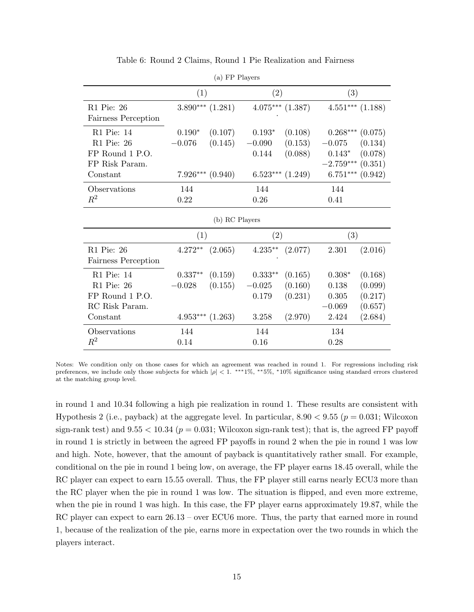|                                                                           |                      | (a) FP Players                             |                               |                                                       |                                             |                                                                 |
|---------------------------------------------------------------------------|----------------------|--------------------------------------------|-------------------------------|-------------------------------------------------------|---------------------------------------------|-----------------------------------------------------------------|
|                                                                           | (1)                  |                                            | $\left( 2\right)$             |                                                       | (3)                                         |                                                                 |
| R1 Pie: 26<br>Fairness Perception                                         |                      | $3.890***$ $(1.281)$                       |                               | $4.075***$ $(1.387)$                                  |                                             | $4.551***$ $(1.188)$                                            |
| R1 Pie: 14<br>R1 Pie: 26<br>FP Round 1 P.O.<br>FP Risk Param.<br>Constant | $0.190*$<br>$-0.076$ | (0.107)<br>(0.145)<br>$7.926***$ $(0.940)$ | $0.193*$<br>$-0.090$<br>0.144 | (0.108)<br>(0.153)<br>(0.088)<br>$6.523***$ $(1.249)$ | $-0.075$<br>$0.143*$<br>$-2.759***$ (0.351) | $0.268***(0.075)$<br>(0.134)<br>(0.078)<br>$6.751***$ $(0.942)$ |
| Observations<br>$R^2$                                                     | 144<br>0.22          |                                            | 144<br>0.26                   |                                                       | 144<br>0.41                                 |                                                                 |
|                                                                           |                      | (b) RC Players                             |                               |                                                       |                                             |                                                                 |
|                                                                           | (1)                  |                                            | $\mathcal{D}$                 |                                                       | (3)                                         |                                                                 |

Table 6: Round 2 Claims, Round 1 Pie Realization and Fairness

 $($  and players  $\overline{P}$ 

| (D) IW FIAVELS                                                                          |                                     |                               |                                         |                                          |                                                 |                                                     |  |
|-----------------------------------------------------------------------------------------|-------------------------------------|-------------------------------|-----------------------------------------|------------------------------------------|-------------------------------------------------|-----------------------------------------------------|--|
|                                                                                         | $\left( 1\right)$                   |                               | $\left( 2\right)$                       |                                          | $\left( 3\right)$                               |                                                     |  |
| R1 Pie: 26<br>Fairness Perception                                                       | $4.272**$                           | (2.065)                       | $4.235***$                              | (2.077)                                  | 2.301                                           | (2.016)                                             |  |
| $R1$ Pie: 14<br>R <sub>1</sub> Pie: 26<br>FP Round 1 P.O.<br>RC Risk Param.<br>Constant | $0.337**$<br>$-0.028$<br>$4.953***$ | (0.159)<br>(0.155)<br>(1.263) | $0.333**$<br>$-0.025$<br>0.179<br>3.258 | (0.165)<br>(0.160)<br>(0.231)<br>(2.970) | $0.308*$<br>0.138<br>0.305<br>$-0.069$<br>2.424 | (0.168)<br>(0.099)<br>(0.217)<br>(0.657)<br>(2.684) |  |
| Observations<br>$\mathbb{R}^2$                                                          | 144<br>0.14                         |                               | 144<br>0.16                             |                                          | 134<br>0.28                                     |                                                     |  |

Notes: We condition only on those cases for which an agreement was reached in round 1. For regressions including risk preferences, we include only those subjects for which  $|\rho| < 1$ . \*\*\*1%, \*\*5%, \*10% significance using standard errors clustered at the matching group level.

in round 1 and 10.34 following a high pie realization in round 1. These results are consistent with Hypothesis 2 (i.e., payback) at the aggregate level. In particular,  $8.90 < 9.55$  ( $p = 0.031$ ; Wilcoxon sign-rank test) and  $9.55 < 10.34$  ( $p = 0.031$ ; Wilcoxon sign-rank test); that is, the agreed FP payoff in round 1 is strictly in between the agreed FP payoffs in round 2 when the pie in round 1 was low and high. Note, however, that the amount of payback is quantitatively rather small. For example, conditional on the pie in round 1 being low, on average, the FP player earns 18.45 overall, while the RC player can expect to earn 15.55 overall. Thus, the FP player still earns nearly ECU3 more than the RC player when the pie in round 1 was low. The situation is flipped, and even more extreme, when the pie in round 1 was high. In this case, the FP player earns approximately 19.87, while the RC player can expect to earn  $26.13$  – over ECU6 more. Thus, the party that earned more in round 1, because of the realization of the pie, earns more in expectation over the two rounds in which the players interact.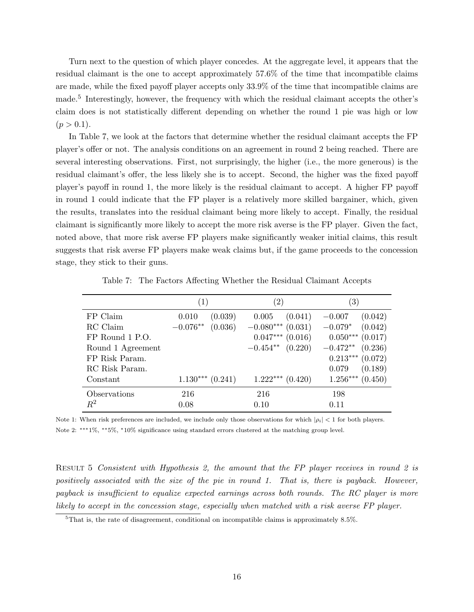Turn next to the question of which player concedes. At the aggregate level, it appears that the residual claimant is the one to accept approximately 57.6% of the time that incompatible claims are made, while the fixed payoff player accepts only 33.9% of the time that incompatible claims are made.<sup>5</sup> Interestingly, however, the frequency with which the residual claimant accepts the other's claim does is not statistically different depending on whether the round 1 pie was high or low  $(p > 0.1).$ 

In Table 7, we look at the factors that determine whether the residual claimant accepts the FP player's offer or not. The analysis conditions on an agreement in round 2 being reached. There are several interesting observations. First, not surprisingly, the higher (i.e., the more generous) is the residual claimant's offer, the less likely she is to accept. Second, the higher was the fixed payoff player's payoff in round 1, the more likely is the residual claimant to accept. A higher FP payoff in round 1 could indicate that the FP player is a relatively more skilled bargainer, which, given the results, translates into the residual claimant being more likely to accept. Finally, the residual claimant is significantly more likely to accept the more risk averse is the FP player. Given the fact, noted above, that more risk averse FP players make significantly weaker initial claims, this result suggests that risk averse FP players make weak claims but, if the game proceeds to the concession stage, they stick to their guns.

|                   | (1)                   | $^{\prime}2)$         | $\left( 3\right)$     |
|-------------------|-----------------------|-----------------------|-----------------------|
| FP Claim          | (0.039)<br>0.010      | (0.041)<br>0.005      | (0.042)<br>$-0.007$   |
| RC Claim          | $-0.076**$<br>(0.036) | $-0.080***$ (0.031)   | $-0.079*$<br>(0.042)  |
| FP Round 1 P.O.   |                       | $0.047***$ $(0.016)$  | $0.050***$ (0.017)    |
| Round 1 Agreement |                       | $-0.454**$ $(0.220)$  | $-0.472**$<br>(0.236) |
| FP Risk Param.    |                       |                       | $0.213***$<br>(0.072) |
| RC Risk Param.    |                       |                       | (0.189)<br>0.079      |
| Constant          | $1.130***$ $(0.241)$  | $1.222***$<br>(0.420) | $1.256***$<br>(0.450) |
| Observations      | 216                   | 216                   | 198                   |
| $R^2$             | 0.08                  | 0.10                  | 0.11                  |

Table 7: The Factors Affecting Whether the Residual Claimant Accepts

Note 1: When risk preferences are included, we include only those observations for which  $|\rho_i| < 1$  for both players. Note 2: ∗∗∗1%, ∗∗5%, <sup>∗</sup>10% significance using standard errors clustered at the matching group level.

RESULT 5 Consistent with Hypothesis 2, the amount that the FP player receives in round 2 is positively associated with the size of the pie in round 1. That is, there is payback. However, payback is insufficient to equalize expected earnings across both rounds. The RC player is more likely to accept in the concession stage, especially when matched with a risk averse FP player.

 $5$ That is, the rate of disagreement, conditional on incompatible claims is approximately 8.5%.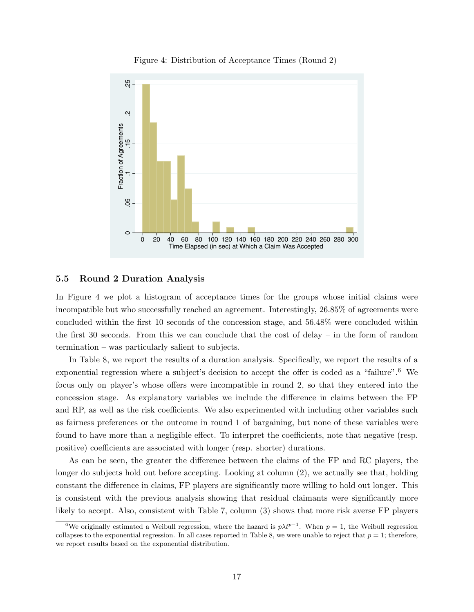

Figure 4: Distribution of Acceptance Times (Round 2)

#### 5.5 Round 2 Duration Analysis

In Figure 4 we plot a histogram of acceptance times for the groups whose initial claims were incompatible but who successfully reached an agreement. Interestingly, 26.85% of agreements were concluded within the first 10 seconds of the concession stage, and 56.48% were concluded within the first 30 seconds. From this we can conclude that the cost of delay – in the form of random termination – was particularly salient to subjects.

In Table 8, we report the results of a duration analysis. Specifically, we report the results of a exponential regression where a subject's decision to accept the offer is coded as a "failure".<sup>6</sup> We focus only on player's whose offers were incompatible in round 2, so that they entered into the concession stage. As explanatory variables we include the difference in claims between the FP and RP, as well as the risk coefficients. We also experimented with including other variables such as fairness preferences or the outcome in round 1 of bargaining, but none of these variables were found to have more than a negligible effect. To interpret the coefficients, note that negative (resp. positive) coefficients are associated with longer (resp. shorter) durations.

As can be seen, the greater the difference between the claims of the FP and RC players, the longer do subjects hold out before accepting. Looking at column (2), we actually see that, holding constant the difference in claims, FP players are significantly more willing to hold out longer. This is consistent with the previous analysis showing that residual claimants were significantly more likely to accept. Also, consistent with Table 7, column (3) shows that more risk averse FP players

<sup>&</sup>lt;sup>6</sup>We originally estimated a Weibull regression, where the hazard is  $p\lambda t^{p-1}$ . When  $p=1$ , the Weibull regression collapses to the exponential regression. In all cases reported in Table 8, we were unable to reject that  $p = 1$ ; therefore, we report results based on the exponential distribution.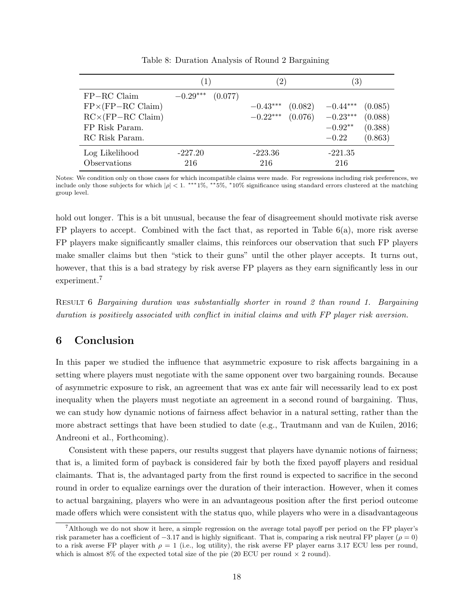|                                                                         | $\left( 1\right)$ |         | $\left( 2\right)$        |                    | $\left( 3\right)$        |                    |
|-------------------------------------------------------------------------|-------------------|---------|--------------------------|--------------------|--------------------------|--------------------|
| $FP-RC$ Claim<br>$FP\times(FP-RC Claim)$<br>$RC \times (FP - RC Claim)$ | $-0.29***$        | (0.077) | $-0.43***$<br>$-0.22***$ | (0.082)<br>(0.076) | $-0.44***$<br>$-0.23***$ | (0.085)<br>(0.088) |
| FP Risk Param.<br>RC Risk Param.                                        |                   |         |                          |                    | $-0.92**$<br>$-0.22$     | (0.388)<br>(0.863) |
| Log Likelihood<br>Observations                                          | $-227.20$<br>216  |         | $-223.36$<br>216         |                    | $-221.35$<br>216         |                    |

Table 8: Duration Analysis of Round 2 Bargaining

Notes: We condition only on those cases for which incompatible claims were made. For regressions including risk preferences, we include only those subjects for which  $|\rho| < 1$ . \*\*\*1%, \*\*5%, \*10% significance using standard errors clustered at the matching group level.

hold out longer. This is a bit unusual, because the fear of disagreement should motivate risk averse FP players to accept. Combined with the fact that, as reported in Table  $6(a)$ , more risk averse FP players make significantly smaller claims, this reinforces our observation that such FP players make smaller claims but then "stick to their guns" until the other player accepts. It turns out, however, that this is a bad strategy by risk averse FP players as they earn significantly less in our experiment.<sup>7</sup>

Result 6 Bargaining duration was substantially shorter in round 2 than round 1. Bargaining duration is positively associated with conflict in initial claims and with FP player risk aversion.

## 6 Conclusion

In this paper we studied the influence that asymmetric exposure to risk affects bargaining in a setting where players must negotiate with the same opponent over two bargaining rounds. Because of asymmetric exposure to risk, an agreement that was ex ante fair will necessarily lead to ex post inequality when the players must negotiate an agreement in a second round of bargaining. Thus, we can study how dynamic notions of fairness affect behavior in a natural setting, rather than the more abstract settings that have been studied to date (e.g., Trautmann and van de Kuilen, 2016; Andreoni et al., Forthcoming).

Consistent with these papers, our results suggest that players have dynamic notions of fairness; that is, a limited form of payback is considered fair by both the fixed payoff players and residual claimants. That is, the advantaged party from the first round is expected to sacrifice in the second round in order to equalize earnings over the duration of their interaction. However, when it comes to actual bargaining, players who were in an advantageous position after the first period outcome made offers which were consistent with the status quo, while players who were in a disadvantageous

<sup>&</sup>lt;sup>7</sup>Although we do not show it here, a simple regression on the average total payoff per period on the FP player's risk parameter has a coefficient of  $-3.17$  and is highly significant. That is, comparing a risk neutral FP player ( $\rho = 0$ ) to a risk averse FP player with  $\rho = 1$  (i.e., log utility), the risk averse FP player earns 3.17 ECU less per round, which is almost 8% of the expected total size of the pie (20 ECU per round  $\times$  2 round).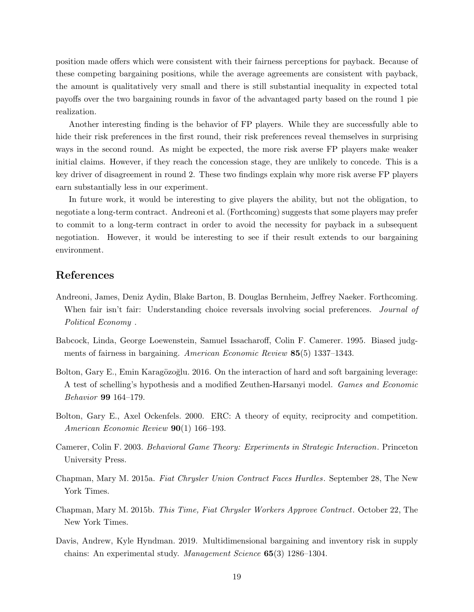position made offers which were consistent with their fairness perceptions for payback. Because of these competing bargaining positions, while the average agreements are consistent with payback, the amount is qualitatively very small and there is still substantial inequality in expected total payoffs over the two bargaining rounds in favor of the advantaged party based on the round 1 pie realization.

Another interesting finding is the behavior of FP players. While they are successfully able to hide their risk preferences in the first round, their risk preferences reveal themselves in surprising ways in the second round. As might be expected, the more risk averse FP players make weaker initial claims. However, if they reach the concession stage, they are unlikely to concede. This is a key driver of disagreement in round 2. These two findings explain why more risk averse FP players earn substantially less in our experiment.

In future work, it would be interesting to give players the ability, but not the obligation, to negotiate a long-term contract. Andreoni et al. (Forthcoming) suggests that some players may prefer to commit to a long-term contract in order to avoid the necessity for payback in a subsequent negotiation. However, it would be interesting to see if their result extends to our bargaining environment.

### References

- Andreoni, James, Deniz Aydin, Blake Barton, B. Douglas Bernheim, Jeffrey Naeker. Forthcoming. When fair isn't fair: Understanding choice reversals involving social preferences. *Journal of* Political Economy .
- Babcock, Linda, George Loewenstein, Samuel Issacharoff, Colin F. Camerer. 1995. Biased judgments of fairness in bargaining. American Economic Review 85(5) 1337–1343.
- Bolton, Gary E., Emin Karagözoğlu. 2016. On the interaction of hard and soft bargaining leverage: A test of schelling's hypothesis and a modified Zeuthen-Harsanyi model. Games and Economic Behavior 99 164–179.
- Bolton, Gary E., Axel Ockenfels. 2000. ERC: A theory of equity, reciprocity and competition. American Economic Review 90(1) 166–193.
- Camerer, Colin F. 2003. Behavioral Game Theory: Experiments in Strategic Interaction. Princeton University Press.
- Chapman, Mary M. 2015a. Fiat Chrysler Union Contract Faces Hurdles. September 28, The New York Times.
- Chapman, Mary M. 2015b. This Time, Fiat Chrysler Workers Approve Contract. October 22, The New York Times.
- Davis, Andrew, Kyle Hyndman. 2019. Multidimensional bargaining and inventory risk in supply chains: An experimental study. Management Science 65(3) 1286–1304.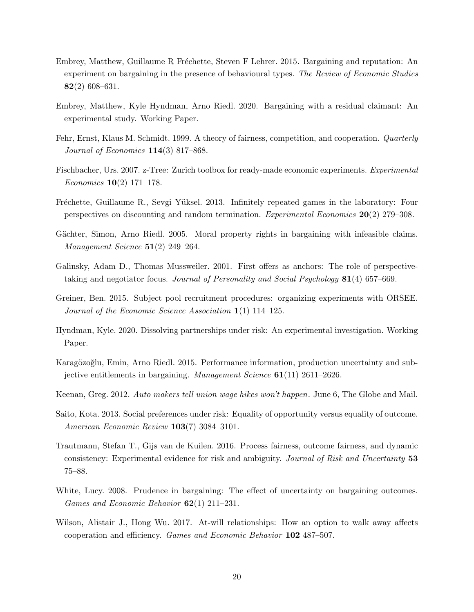- Embrey, Matthew, Guillaume R Fréchette, Steven F Lehrer. 2015. Bargaining and reputation: An experiment on bargaining in the presence of behavioural types. The Review of Economic Studies 82(2) 608–631.
- Embrey, Matthew, Kyle Hyndman, Arno Riedl. 2020. Bargaining with a residual claimant: An experimental study. Working Paper.
- Fehr, Ernst, Klaus M. Schmidt. 1999. A theory of fairness, competition, and cooperation. Quarterly Journal of Economics  $114(3)$  817–868.
- Fischbacher, Urs. 2007. z-Tree: Zurich toolbox for ready-made economic experiments. Experimental *Economics* **10**(2) 171–178.
- Fréchette, Guillaume R., Sevgi Yüksel. 2013. Infinitely repeated games in the laboratory: Four perspectives on discounting and random termination. Experimental Economics 20(2) 279–308.
- Gächter, Simon, Arno Riedl. 2005. Moral property rights in bargaining with infeasible claims. Management Science  $51(2)$  249–264.
- Galinsky, Adam D., Thomas Mussweiler. 2001. First offers as anchors: The role of perspectivetaking and negotiator focus. Journal of Personality and Social Psychology 81(4) 657–669.
- Greiner, Ben. 2015. Subject pool recruitment procedures: organizing experiments with ORSEE. Journal of the Economic Science Association 1(1) 114–125.
- Hyndman, Kyle. 2020. Dissolving partnerships under risk: An experimental investigation. Working Paper.
- Karagözoğlu, Emin, Arno Riedl. 2015. Performance information, production uncertainty and subjective entitlements in bargaining. *Management Science*  $61(11)$  2611–2626.
- Keenan, Greg. 2012. Auto makers tell union wage hikes won't happen. June 6, The Globe and Mail.
- Saito, Kota. 2013. Social preferences under risk: Equality of opportunity versus equality of outcome. American Economic Review 103(7) 3084–3101.
- Trautmann, Stefan T., Gijs van de Kuilen. 2016. Process fairness, outcome fairness, and dynamic consistency: Experimental evidence for risk and ambiguity. Journal of Risk and Uncertainty 53 75–88.
- White, Lucy. 2008. Prudence in bargaining: The effect of uncertainty on bargaining outcomes. Games and Economic Behavior 62(1) 211–231.
- Wilson, Alistair J., Hong Wu. 2017. At-will relationships: How an option to walk away affects cooperation and efficiency. Games and Economic Behavior 102 487–507.